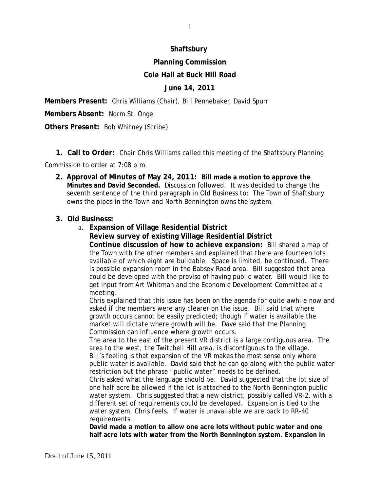# **Shaftsbury**

# **Planning Commission**

### **Cole Hall at Buck Hill Road**

### **June 14, 2011**

**Members Present:** Chris Williams (Chair), Bill Pennebaker, David Spurr

**Members Absent:** Norm St. Onge

**Others Present:**Bob Whitney (Scribe)

 **1. Call to Order:** Chair Chris Williams called this meeting of the Shaftsbury Planning

Commission to order at 7:08 p.m.

**2. Approval of Minutes of May 24, 2011: Bill made a motion to approve the Minutes and David Seconded.** Discussion followed. It was decided to change the seventh sentence of the third paragraph in Old Business to: The Town of Shaftsbury owns the pipes in the Town and North Bennington owns the system.

#### **3. Old Business:**

a. **Expansion of Village Residential District Review survey of existing Village Residential District Continue discussion of how to achieve expansion:** Bill shared a map of the Town with the other members and explained that there are fourteen lots available of which eight are buildable. Space is limited, he continued. There is possible expansion room in the Babsey Road area. Bill suggested that area could be developed with the proviso of having public water. Bill would like to get input from Art Whitman and the Economic Development Committee at a meeting.

Chris explained that this issue has been on the agenda for quite awhile now and asked if the members were any clearer on the issue. Bill said that where growth occurs cannot be easily predicted; though if water is available the market will dictate where growth will be. Dave said that the Planning Commission can influence where growth occurs.

The area to the east of the present VR district is a large contiguous area. The area to the west, the Twitchell Hill area, is discontiguous to the village. Bill's feeling is that expansion of the VR makes the most sense only where public water is available. David said that he can go along with the public water restriction but the phrase "public water" needs to be defined.

Chris asked what the language should be. David suggested that the lot size of one half acre be allowed if the lot is attached to the North Bennington public water system. Chris suggested that a new district, possibly called VR-2, with a different set of requirements could be developed. Expansion is tied to the water system, Chris feels. If water is unavailable we are back to RR-40 requirements.

**David made a motion to allow one acre lots without pubic water and one half acre lots with water from the North Bennington system. Expansion in**